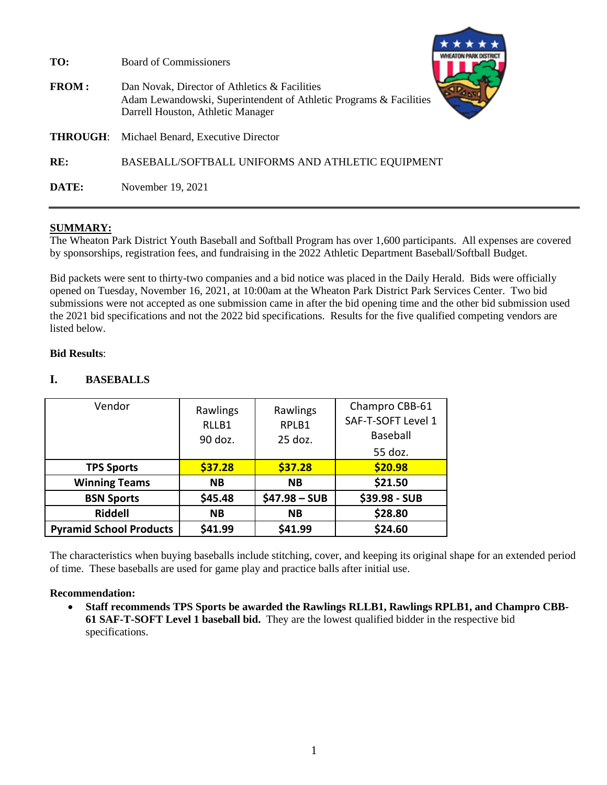| TO:<br><b>FROM:</b> | <b>Board of Commissioners</b><br>Dan Novak, Director of Athletics & Facilities<br>Adam Lewandowski, Superintendent of Athletic Programs & Facilities<br>Darrell Houston, Athletic Manager |
|---------------------|-------------------------------------------------------------------------------------------------------------------------------------------------------------------------------------------|
| <b>THROUGH:</b>     | Michael Benard, Executive Director                                                                                                                                                        |
| RE:                 | BASEBALL/SOFTBALL UNIFORMS AND ATHLETIC EQUIPMENT                                                                                                                                         |
| DATE:               | November 19, 2021                                                                                                                                                                         |

## **SUMMARY:**

The Wheaton Park District Youth Baseball and Softball Program has over 1,600 participants. All expenses are covered by sponsorships, registration fees, and fundraising in the 2022 Athletic Department Baseball/Softball Budget.

Bid packets were sent to thirty-two companies and a bid notice was placed in the Daily Herald. Bids were officially opened on Tuesday, November 16, 2021, at 10:00am at the Wheaton Park District Park Services Center. Two bid submissions were not accepted as one submission came in after the bid opening time and the other bid submission used the 2021 bid specifications and not the 2022 bid specifications. Results for the five qualified competing vendors are listed below.

### **Bid Results**:

## **I. BASEBALLS**

| Vendor                         | Rawlings         | Rawlings         | Champro CBB-61<br>SAF-T-SOFT Level 1 |
|--------------------------------|------------------|------------------|--------------------------------------|
|                                | RLLB1<br>90 doz. | RPLB1<br>25 doz. | Baseball                             |
|                                |                  |                  | 55 doz.                              |
| <b>TPS Sports</b>              | \$37.28          | \$37.28          | \$20.98                              |
| <b>Winning Teams</b>           | <b>NB</b>        | <b>NB</b>        | \$21.50                              |
| <b>BSN Sports</b>              | \$45.48          | $$47.98 - SUB$   | \$39.98 - SUB                        |
| <b>Riddell</b>                 | <b>NB</b>        | <b>NB</b>        | \$28.80                              |
| <b>Pyramid School Products</b> | \$41.99          | \$41.99          | \$24.60                              |

The characteristics when buying baseballs include stitching, cover, and keeping its original shape for an extended period of time. These baseballs are used for game play and practice balls after initial use.

#### **Recommendation:**

• **Staff recommends TPS Sports be awarded the Rawlings RLLB1, Rawlings RPLB1, and Champro CBB-61 SAF-T-SOFT Level 1 baseball bid.** They are the lowest qualified bidder in the respective bid specifications.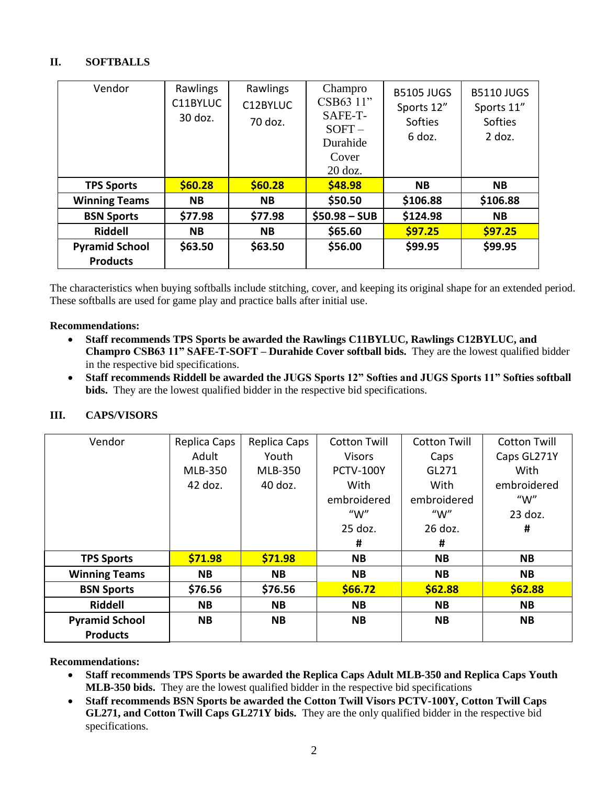# **II. SOFTBALLS**

| Vendor                                   | Rawlings<br>C11BYLUC<br>30 doz. | Champro<br>Rawlings<br>CSB63 11"<br>C12BYLUC<br>SAFE-T-<br>70 doz.<br>$SOFT-$<br>Durahide<br>Cover<br>$20$ doz. |                | <b>B5105 JUGS</b><br>Sports 12"<br>Softies<br>6 doz. | <b>B5110 JUGS</b><br>Sports 11"<br>Softies<br>$2$ doz. |
|------------------------------------------|---------------------------------|-----------------------------------------------------------------------------------------------------------------|----------------|------------------------------------------------------|--------------------------------------------------------|
| <b>TPS Sports</b>                        | \$60.28                         | \$60.28                                                                                                         | \$48.98        | <b>NB</b>                                            | <b>NB</b>                                              |
| <b>Winning Teams</b>                     | <b>NB</b>                       | <b>NB</b>                                                                                                       | \$50.50        | \$106.88                                             | \$106.88                                               |
| <b>BSN Sports</b>                        | \$77.98                         | \$77.98                                                                                                         | $$50.98 - SUB$ | \$124.98                                             | <b>NB</b>                                              |
| <b>Riddell</b>                           | <b>NB</b>                       | <b>NB</b>                                                                                                       | \$65.60        | \$97.25                                              | \$97.25                                                |
| <b>Pyramid School</b><br><b>Products</b> | \$63.50                         | \$63.50                                                                                                         | \$56.00        | \$99.95                                              | \$99.95                                                |

The characteristics when buying softballs include stitching, cover, and keeping its original shape for an extended period. These softballs are used for game play and practice balls after initial use.

### **Recommendations:**

- **Staff recommends TPS Sports be awarded the Rawlings C11BYLUC, Rawlings C12BYLUC, and Champro CSB63 11" SAFE-T-SOFT – Durahide Cover softball bids.** They are the lowest qualified bidder in the respective bid specifications.
- **Staff recommends Riddell be awarded the JUGS Sports 12" Softies and JUGS Sports 11" Softies softball bids.** They are the lowest qualified bidder in the respective bid specifications.

## **III. CAPS/VISORS**

| Vendor                | Replica Caps   | Replica Caps   | <b>Cotton Twill</b> | <b>Cotton Twill</b> | <b>Cotton Twill</b> |
|-----------------------|----------------|----------------|---------------------|---------------------|---------------------|
|                       | Adult          | Youth          | <b>Visors</b>       | Caps                | Caps GL271Y         |
|                       | <b>MLB-350</b> | <b>MLB-350</b> | <b>PCTV-100Y</b>    | GL271               | With                |
|                       | 42 doz.        | 40 doz.        | With                | With                | embroidered         |
|                       |                |                | embroidered         | embroidered         | " $W$ "             |
|                       |                |                | " $W$ "             | " $W$ "             | $23$ doz.           |
|                       |                |                | $25$ doz.           | 26 doz.             | #                   |
|                       |                |                | #                   | #                   |                     |
| <b>TPS Sports</b>     | \$71.98        | \$71.98        | <b>NB</b>           | <b>NB</b>           |                     |
|                       |                |                |                     |                     | <b>NB</b>           |
| <b>Winning Teams</b>  | <b>NB</b>      | <b>NB</b>      | <b>NB</b>           | <b>NB</b>           | <b>NB</b>           |
| <b>BSN Sports</b>     | \$76.56        | \$76.56        | \$66.72             | \$62.88             | \$62.88             |
| <b>Riddell</b>        | <b>NB</b>      | <b>NB</b>      | <b>NB</b>           | <b>NB</b>           | <b>NB</b>           |
| <b>Pyramid School</b> | <b>NB</b>      | <b>NB</b>      | <b>NB</b>           | <b>NB</b>           | <b>NB</b>           |

#### **Recommendations:**

- **Staff recommends TPS Sports be awarded the Replica Caps Adult MLB-350 and Replica Caps Youth MLB-350 bids.** They are the lowest qualified bidder in the respective bid specifications
- **Staff recommends BSN Sports be awarded the Cotton Twill Visors PCTV-100Y, Cotton Twill Caps GL271, and Cotton Twill Caps GL271Y bids.** They are the only qualified bidder in the respective bid specifications.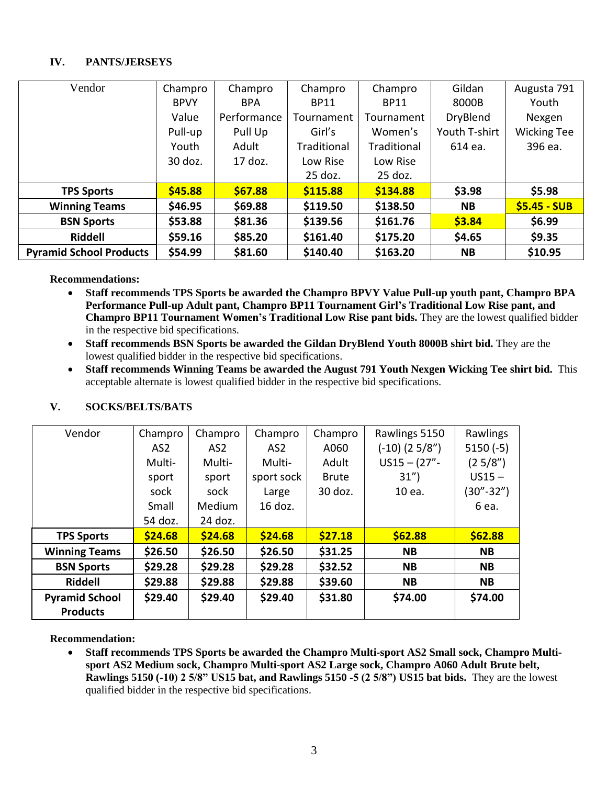## **IV. PANTS/JERSEYS**

| Vendor                         | Champro     | Champro     | Champro     | Champro     | Gildan          | Augusta 791        |
|--------------------------------|-------------|-------------|-------------|-------------|-----------------|--------------------|
|                                |             |             |             |             |                 |                    |
|                                | <b>BPVY</b> | <b>BPA</b>  | <b>BP11</b> | <b>BP11</b> | 8000B           | Youth              |
|                                | Value       | Performance | Tournament  | Tournament  | <b>DryBlend</b> | Nexgen             |
|                                | Pull-up     | Pull Up     | Girl's      | Women's     | Youth T-shirt   | <b>Wicking Tee</b> |
|                                | Youth       | Adult       | Traditional | Traditional | 614 ea.         | 396 ea.            |
|                                | 30 doz.     | 17 doz.     | Low Rise    | Low Rise    |                 |                    |
|                                |             |             | 25 doz.     | 25 doz.     |                 |                    |
| <b>TPS Sports</b>              | \$45.88     | \$67.88     | \$115.88    | \$134.88    | \$3.98          | \$5.98             |
| <b>Winning Teams</b>           | \$46.95     | \$69.88     | \$119.50    | \$138.50    | <b>NB</b>       | $$5.45 - SUB$      |
| <b>BSN Sports</b>              | \$53.88     | \$81.36     | \$139.56    | \$161.76    | \$3.84          | \$6.99             |
| <b>Riddell</b>                 | \$59.16     | \$85.20     | \$161.40    | \$175.20    | \$4.65          | \$9.35             |
| <b>Pyramid School Products</b> | \$54.99     | \$81.60     | \$140.40    | \$163.20    | <b>NB</b>       | \$10.95            |

#### **Recommendations:**

- **Staff recommends TPS Sports be awarded the Champro BPVY Value Pull-up youth pant, Champro BPA Performance Pull-up Adult pant, Champro BP11 Tournament Girl's Traditional Low Rise pant, and Champro BP11 Tournament Women's Traditional Low Rise pant bids.** They are the lowest qualified bidder in the respective bid specifications.
- **Staff recommends BSN Sports be awarded the Gildan DryBlend Youth 8000B shirt bid.** They are the lowest qualified bidder in the respective bid specifications.
- **Staff recommends Winning Teams be awarded the August 791 Youth Nexgen Wicking Tee shirt bid.** This acceptable alternate is lowest qualified bidder in the respective bid specifications.

| Vendor                | Champro | Champro       | Champro    | Champro      | Rawlings 5150     | Rawlings   |
|-----------------------|---------|---------------|------------|--------------|-------------------|------------|
|                       | AS2     | AS2           | AS2        | A060         | $(-10)$ $(25/8")$ | $5150(-5)$ |
|                       | Multi-  | Multi-        | Multi-     | Adult        | $US15 - (27" -$   | (25/8")    |
|                       | sport   | sport         | sport sock | <b>Brute</b> | 31")              | $US15 -$   |
|                       | sock    | sock          | Large      | 30 doz.      | 10 ea.            | (30"-32")  |
|                       | Small   | <b>Medium</b> | $16$ doz.  |              |                   | 6 ea.      |
|                       | 54 doz. | 24 doz.       |            |              |                   |            |
| <b>TPS Sports</b>     | \$24.68 | \$24.68       | \$24.68    | \$27.18      | \$62.88           | \$62.88    |
| <b>Winning Teams</b>  | \$26.50 | \$26.50       | \$26.50    | \$31.25      | <b>NB</b>         | <b>NB</b>  |
| <b>BSN Sports</b>     | \$29.28 | \$29.28       | \$29.28    | \$32.52      | <b>NB</b>         | <b>NB</b>  |
| <b>Riddell</b>        | \$29.88 | \$29.88       | \$29.88    | \$39.60      | <b>NB</b>         | <b>NB</b>  |
| <b>Pyramid School</b> | \$29.40 | \$29.40       | \$29.40    | \$31.80      | \$74.00           | \$74.00    |
| <b>Products</b>       |         |               |            |              |                   |            |

## **V. SOCKS/BELTS/BATS**

#### **Recommendation:**

• **Staff recommends TPS Sports be awarded the Champro Multi-sport AS2 Small sock, Champro Multisport AS2 Medium sock, Champro Multi-sport AS2 Large sock, Champro A060 Adult Brute belt, Rawlings 5150 (-10) 2 5/8" US15 bat, and Rawlings 5150 -5 (2 5/8") US15 bat bids.** They are the lowest qualified bidder in the respective bid specifications.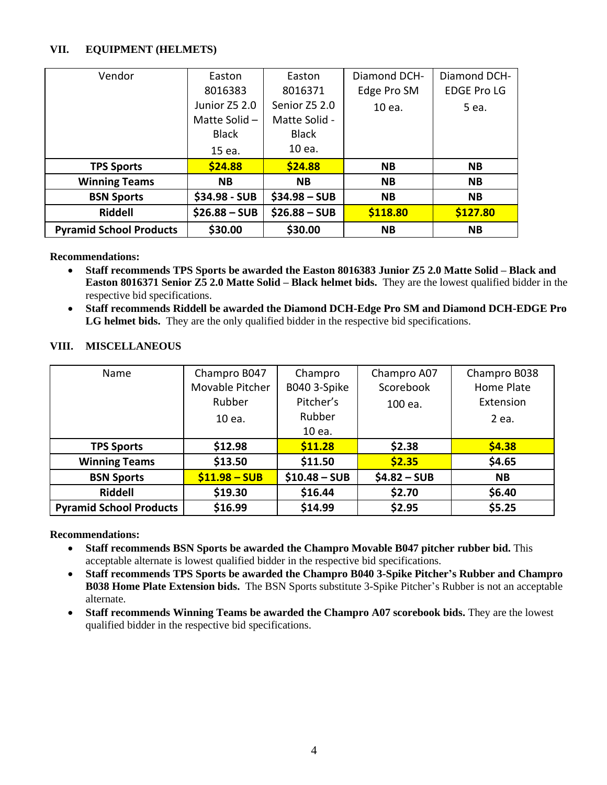## **VII. EQUIPMENT (HELMETS)**

| Vendor                         |                 |                | Diamond DCH- | Diamond DCH-       |
|--------------------------------|-----------------|----------------|--------------|--------------------|
|                                | Easton          | Easton         |              |                    |
|                                | 8016383         | 8016371        | Edge Pro SM  | <b>EDGE Pro LG</b> |
|                                | Junior Z5 2.0   | Senior Z5 2.0  | 10 ea.       | 5 ea.              |
|                                | Matte Solid $-$ | Matte Solid -  |              |                    |
|                                | <b>Black</b>    | <b>Black</b>   |              |                    |
|                                | 15 ea.          | 10 ea.         |              |                    |
| <b>TPS Sports</b>              | \$24.88         | \$24.88        | <b>NB</b>    | <b>NB</b>          |
| <b>Winning Teams</b>           | <b>NB</b>       | <b>NB</b>      | <b>NB</b>    | <b>NB</b>          |
| <b>BSN Sports</b>              | $$34.98 - SUB$  | $$34.98 - SUB$ | <b>NB</b>    | <b>NB</b>          |
| <b>Riddell</b>                 | $$26.88 - SUB$  | $$26.88 - SUB$ | \$118.80     | \$127.80           |
| <b>Pyramid School Products</b> | \$30.00         | \$30.00        | <b>NB</b>    | <b>NB</b>          |

#### **Recommendations:**

- **Staff recommends TPS Sports be awarded the Easton 8016383 Junior Z5 2.0 Matte Solid – Black and Easton 8016371 Senior Z5 2.0 Matte Solid – Black helmet bids.** They are the lowest qualified bidder in the respective bid specifications.
- **Staff recommends Riddell be awarded the Diamond DCH-Edge Pro SM and Diamond DCH-EDGE Pro LG helmet bids.** They are the only qualified bidder in the respective bid specifications.

| Name                           | Champro B047    | Champro        | Champro A07   | Champro B038 |
|--------------------------------|-----------------|----------------|---------------|--------------|
|                                | Movable Pitcher | B040 3-Spike   | Scorebook     | Home Plate   |
|                                | Rubber          | Pitcher's      | 100 ea.       | Extension    |
|                                | 10 ea.          | Rubber         |               | 2 ea.        |
|                                |                 | 10 ea.         |               |              |
| <b>TPS Sports</b>              | \$12.98         | \$11.28        | \$2.38        | \$4.38       |
| <b>Winning Teams</b>           | \$13.50         | \$11.50        | \$2.35        | \$4.65       |
| <b>BSN Sports</b>              | $$11.98 - SUB$  | $$10.48 - SUB$ | $$4.82 - SUB$ | <b>NB</b>    |
| Riddell                        | \$19.30         | \$16.44        | \$2.70        | \$6.40       |
| <b>Pyramid School Products</b> | \$16.99         | \$14.99        | \$2.95        | \$5.25       |

### **VIII. MISCELLANEOUS**

#### **Recommendations:**

- **Staff recommends BSN Sports be awarded the Champro Movable B047 pitcher rubber bid.** This acceptable alternate is lowest qualified bidder in the respective bid specifications.
- **Staff recommends TPS Sports be awarded the Champro B040 3-Spike Pitcher's Rubber and Champro B038 Home Plate Extension bids.** The BSN Sports substitute 3-Spike Pitcher's Rubber is not an acceptable alternate.
- **Staff recommends Winning Teams be awarded the Champro A07 scorebook bids.** They are the lowest qualified bidder in the respective bid specifications.